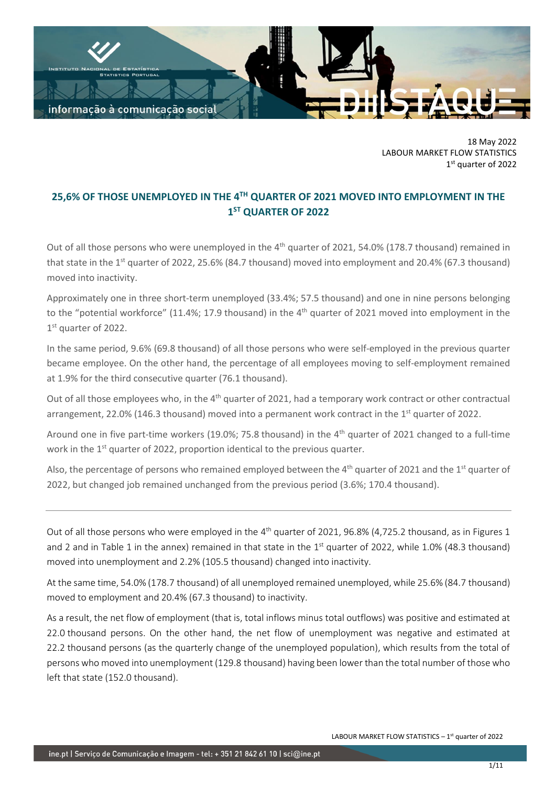

18 May 2022 LABOUR MARKET FLOW STATISTICS 1 st quarter of 2022

# **25,6% OF THOSE UNEMPLOYED IN THE 4 TH QUARTER OF 2021 MOVED INTO EMPLOYMENT IN THE 1 ST QUARTER OF 2022**

Out of all those persons who were unemployed in the 4<sup>th</sup> quarter of 2021, 54.0% (178.7 thousand) remained in that state in the 1<sup>st</sup> quarter of 2022, 25.6% (84.7 thousand) moved into employment and 20.4% (67.3 thousand) moved into inactivity.

Approximately one in three short-term unemployed (33.4%; 57.5 thousand) and one in nine persons belonging to the "potential workforce" (11.4%; 17.9 thousand) in the 4<sup>th</sup> quarter of 2021 moved into employment in the 1st quarter of 2022.

In the same period, 9.6% (69.8 thousand) of all those persons who were self-employed in the previous quarter became employee. On the other hand, the percentage of all employees moving to self-employment remained at 1.9% for the third consecutive quarter (76.1 thousand).

Out of all those employees who, in the 4<sup>th</sup> quarter of 2021, had a temporary work contract or other contractual arrangement, 22.0% (146.3 thousand) moved into a permanent work contract in the 1<sup>st</sup> quarter of 2022.

Around one in five part-time workers (19.0%; 75.8 thousand) in the 4<sup>th</sup> quarter of 2021 changed to a full-time work in the 1<sup>st</sup> quarter of 2022, proportion identical to the previous quarter.

Also, the percentage of persons who remained employed between the 4<sup>th</sup> quarter of 2021 and the 1<sup>st</sup> quarter of 2022, but changed job remained unchanged from the previous period (3.6%; 170.4 thousand).

Out of all those persons who were employed in the  $4^{th}$  quarter of 2021, 96.8% (4,725.2 thousand, as in Figures 1 and 2 and in Table 1 in the annex) remained in that state in the  $1<sup>st</sup>$  quarter of 2022, while 1.0% (48.3 thousand) moved into unemployment and 2.2% (105.5 thousand) changed into inactivity.

At the same time, 54.0% (178.7 thousand) of all unemployed remained unemployed, while 25.6% (84.7 thousand) moved to employment and 20.4% (67.3 thousand) to inactivity.

As a result, the net flow of employment (that is, total inflows minus total outflows) was positive and estimated at 22.0 thousand persons. On the other hand, the net flow of unemployment was negative and estimated at 22.2 thousand persons (as the quarterly change of the unemployed population), which results from the total of persons who moved into unemployment (129.8 thousand) having been lower than the total number of those who left that state (152.0 thousand).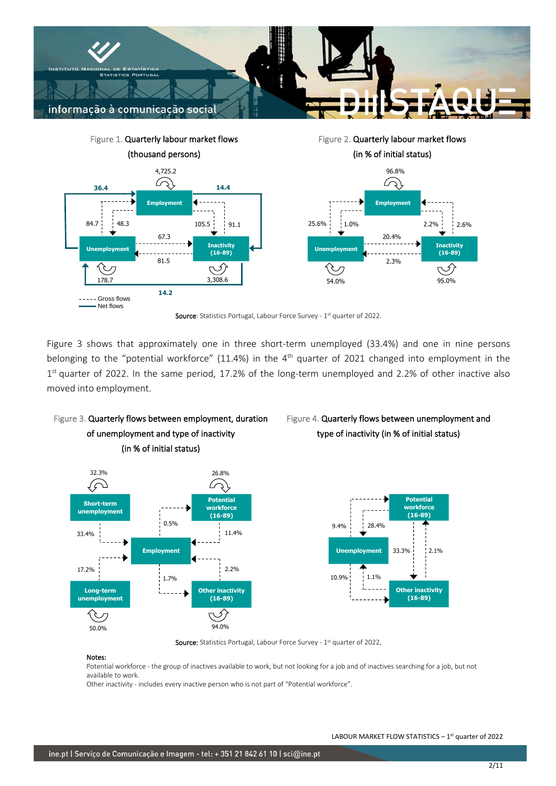



Figure 3 shows that approximately one in three short-term unemployed (33.4%) and one in nine persons belonging to the "potential workforce" (11.4%) in the 4<sup>th</sup> quarter of 2021 changed into employment in the 1<sup>st</sup> quarter of 2022. In the same period, 17.2% of the long-term unemployed and 2.2% of other inactive also moved into employment.







Figure 4. Quarterly flows between unemployment and type of inactivity (in % of initial status)

Source: Statistics Portugal, Labour Force Survey - 1<sup>st</sup> quarter of 2022.

#### Notes:

Potential workforce - the group of inactives available to work, but not looking for a job and of inactives searching for a job, but not available to work.

Other inactivity - includes every inactive person who is not part of "Potential workforce".

**Other inactivity (16-89)**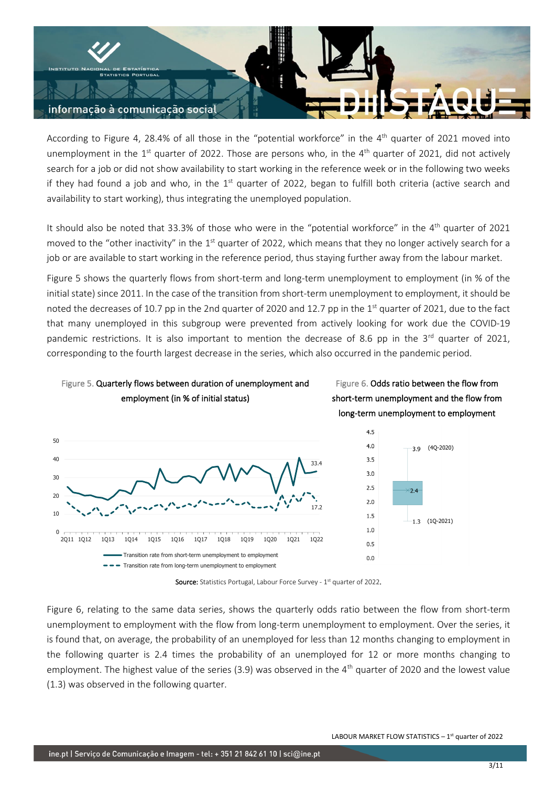

According to Figure 4, 28.4% of all those in the "potential workforce" in the  $4<sup>th</sup>$  quarter of 2021 moved into unemployment in the  $1<sup>st</sup>$  quarter of 2022. Those are persons who, in the  $4<sup>th</sup>$  quarter of 2021, did not actively search for a job or did not show availability to start working in the reference week or in the following two weeks if they had found a job and who, in the  $1<sup>st</sup>$  quarter of 2022, began to fulfill both criteria (active search and availability to start working), thus integrating the unemployed population.

It should also be noted that 33.3% of those who were in the "potential workforce" in the 4<sup>th</sup> quarter of 2021 moved to the "other inactivity" in the  $1<sup>st</sup>$  quarter of 2022, which means that they no longer actively search for a job or are available to start working in the reference period, thus staying further away from the labour market.

Figure 5 shows the quarterly flows from short-term and long-term unemployment to employment (in % of the initial state) since 2011. In the case of the transition from short-term unemployment to employment, it should be noted the decreases of 10.7 pp in the 2nd quarter of 2020 and 12.7 pp in the  $1<sup>st</sup>$  quarter of 2021, due to the fact that many unemployed in this subgroup were prevented from actively looking for work due the COVID-19 pandemic restrictions. It is also important to mention the decrease of 8.6 pp in the  $3<sup>rd</sup>$  quarter of 2021, corresponding to the fourth largest decrease in the series, which also occurred in the pandemic period.









Source: Statistics Portugal, Labour Force Survey - 1<sup>st</sup> quarter of 2022.

Figure 6, relating to the same data series, shows the quarterly odds ratio between the flow from short-term unemployment to employment with the flow from long-term unemployment to employment. Over the series, it is found that, on average, the probability of an unemployed for less than 12 months changing to employment in the following quarter is 2.4 times the probability of an unemployed for 12 or more months changing to employment. The highest value of the series (3.9) was observed in the 4<sup>th</sup> quarter of 2020 and the lowest value (1.3) was observed in the following quarter.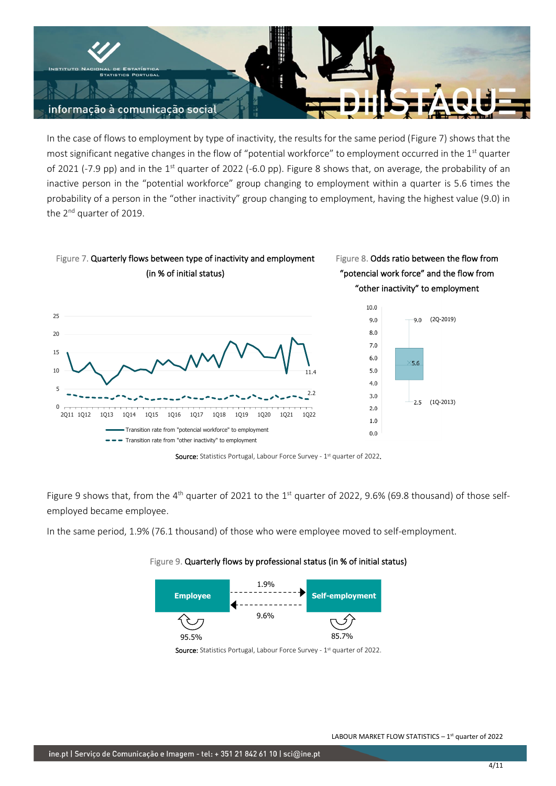

In the case of flows to employment by type of inactivity, the results for the same period (Figure 7) shows that the most significant negative changes in the flow of "potential workforce" to employment occurred in the 1<sup>st</sup> quarter of 2021 (-7.9 pp) and in the 1<sup>st</sup> quarter of 2022 (-6.0 pp). Figure 8 shows that, on average, the probability of an inactive person in the "potential workforce" group changing to employment within a quarter is 5.6 times the probability of a person in the "other inactivity" group changing to employment, having the highest value (9.0) in the 2<sup>nd</sup> quarter of 2019.



Figure 9 shows that, from the 4<sup>th</sup> quarter of 2021 to the 1<sup>st</sup> quarter of 2022, 9.6% (69.8 thousand) of those selfemployed became employee.

In the same period, 1.9% (76.1 thousand) of those who were employee moved to self-employment.





Source: Statistics Portugal, Labour Force Survey - 1<sup>st</sup> quarter of 2022.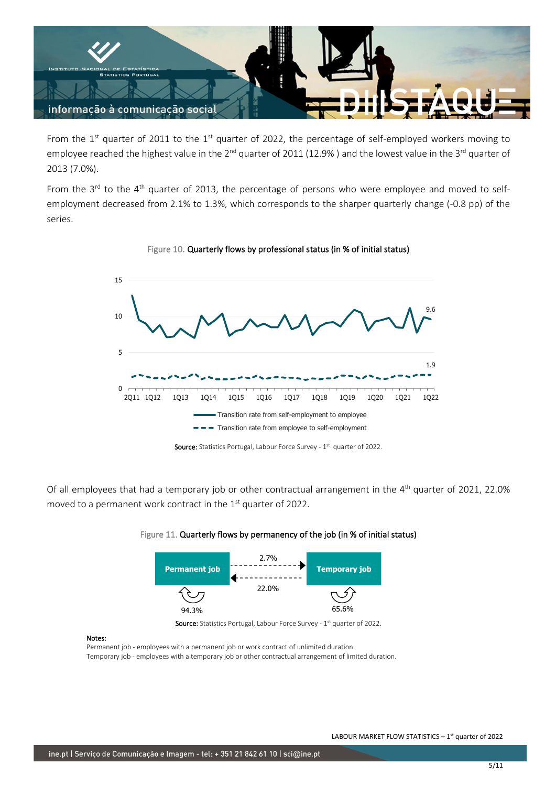

From the 1st quarter of 2011 to the 1st quarter of 2022, the percentage of self-employed workers moving to employee reached the highest value in the  $2^{nd}$  quarter of 2011 (12.9%) and the lowest value in the 3<sup>rd</sup> quarter of 2013 (7.0%).

From the  $3<sup>rd</sup>$  to the  $4<sup>th</sup>$  quarter of 2013, the percentage of persons who were employee and moved to selfemployment decreased from 2.1% to 1.3%, which corresponds to the sharper quarterly change (-0.8 pp) of the series.



Figure 10. Quarterly flows by professional status (in % of initial status)

Of all employees that had a temporary job or other contractual arrangement in the 4<sup>th</sup> quarter of 2021, 22.0% moved to a permanent work contract in the  $1<sup>st</sup>$  quarter of 2022.



### Figure 11. Quarterly flows by permanency of the job (in % of initial status)

Source: Statistics Portugal, Labour Force Survey - 1<sup>st</sup> quarter of 2022.

#### Notes:

Permanent job - employees with a permanent job or work contract of unlimited duration. Temporary job - employees with a temporary job or other contractual arrangement of limited duration.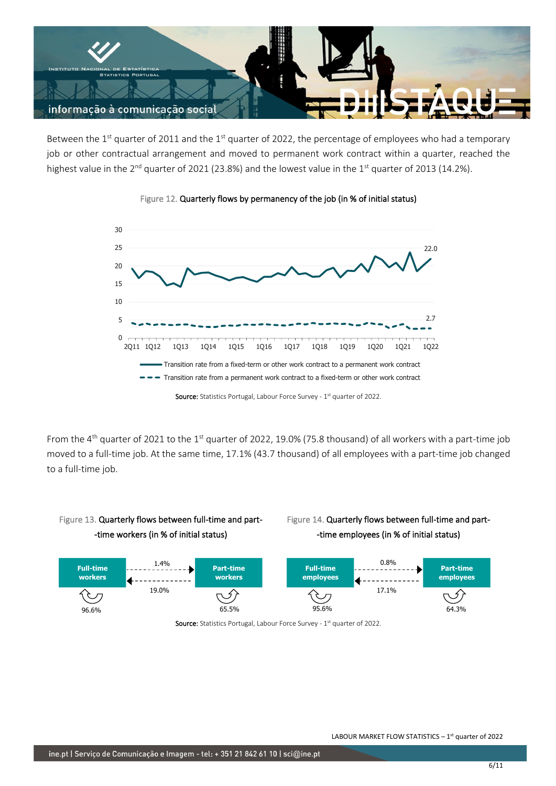

Between the 1<sup>st</sup> quarter of 2011 and the 1<sup>st</sup> quarter of 2022, the percentage of employees who had a temporary job or other contractual arrangement and moved to permanent work contract within a quarter, reached the highest value in the  $2^{nd}$  quarter of 2021 (23.8%) and the lowest value in the 1<sup>st</sup> quarter of 2013 (14.2%).





From the 4<sup>th</sup> quarter of 2021 to the 1<sup>st</sup> quarter of 2022, 19.0% (75.8 thousand) of all workers with a part-time job moved to a full-time job. At the same time, 17.1% (43.7 thousand) of all employees with a part-time job changed to a full-time job.



## Figure 14. Quarterly flows between full-time and part- -time employees (in % of initial status)



Source: Statistics Portugal, Labour Force Survey - 1<sup>st</sup> quarter of 2022.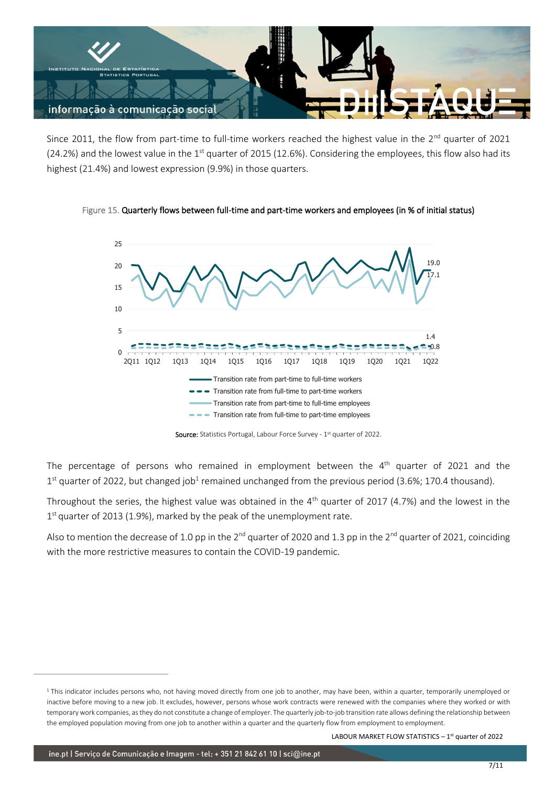

Since 2011, the flow from part-time to full-time workers reached the highest value in the 2<sup>nd</sup> quarter of 2021 (24.2%) and the lowest value in the  $1<sup>st</sup>$  quarter of 2015 (12.6%). Considering the employees, this flow also had its highest (21.4%) and lowest expression (9.9%) in those quarters.

Figure 15. Quarterly flows between full-time and part-time workers and employees (in % of initial status)



Source: Statistics Portugal, Labour Force Survey - 1<sup>st</sup> quarter of 2022.

The percentage of persons who remained in employment between the  $4<sup>th</sup>$  quarter of 2021 and the  $1<sup>st</sup>$  quarter of 2022, but changed job<sup>1</sup> remained unchanged from the previous period (3.6%; 170.4 thousand).

Throughout the series, the highest value was obtained in the  $4<sup>th</sup>$  quarter of 2017 (4.7%) and the lowest in the 1<sup>st</sup> quarter of 2013 (1.9%), marked by the peak of the unemployment rate.

Also to mention the decrease of 1.0 pp in the  $2^{nd}$  quarter of 2020 and 1.3 pp in the  $2^{nd}$  quarter of 2021, coinciding with the more restrictive measures to contain the COVID-19 pandemic.

LABOUR MARKET FLOW STATISTICS  $-1<sup>st</sup>$  quarter of 2022

<sup>&</sup>lt;sup>1</sup> This indicator includes persons who, not having moved directly from one job to another, may have been, within a quarter, temporarily unemployed or inactive before moving to a new job. It excludes, however, persons whose work contracts were renewed with the companies where they worked or with temporary work companies, as they do not constitute a change of employer. The quarterly job-to-job transition rate allows defining the relationship between the employed population moving from one job to another within a quarter and the quarterly flow from employment to employment.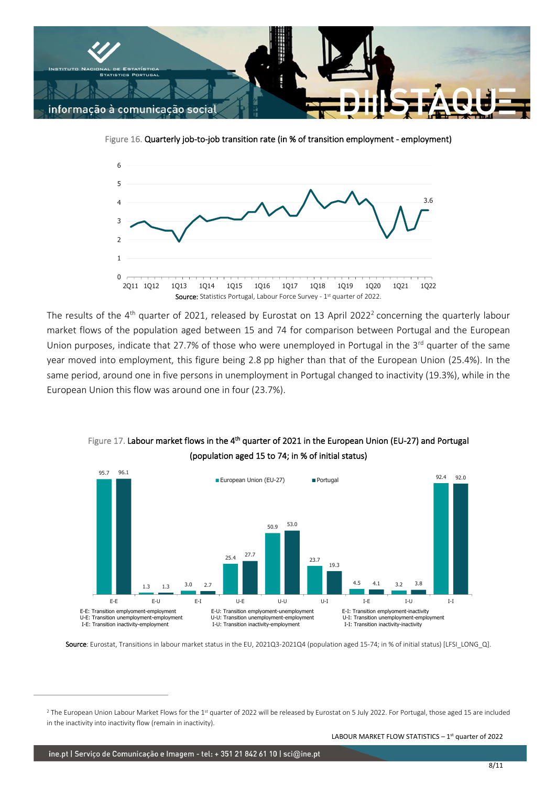

Figure 16. Quarterly job-to-job transition rate (in % of transition employment - employment)



The results of the 4<sup>th</sup> quarter of 2021, released by Eurostat on 13 April 2022<sup>2</sup> concerning the quarterly labour market flows of the population aged between 15 and 74 for comparison between Portugal and the European Union purposes, indicate that 27.7% of those who were unemployed in Portugal in the 3<sup>rd</sup> quarter of the same year moved into employment, this figure being 2.8 pp higher than that of the European Union (25.4%). In the same period, around one in five persons in unemployment in Portugal changed to inactivity (19.3%), while in the European Union this flow was around one in four (23.7%).



Figure 17. Labour market flows in the 4<sup>th</sup> quarter of 2021 in the European Union (EU-27) and Portugal (population aged 15 to 74; in % of initial status)

LABOUR MARKET FLOW STATISTICS  $-1<sup>st</sup>$  quarter of 2022

Source: Eurostat, Transitions in labour market status in the EU, 2021Q3-2021Q4 (population aged 15-74; in % of initial status) [LFSI\_LONG\_Q].

 $^2$  The European Union Labour Market Flows for the 1 $^{\text{st}}$  quarter of 2022 will be released by Eurostat on 5 July 2022. For Portugal, those aged 15 are included in the inactivity into inactivity flow (remain in inactivity).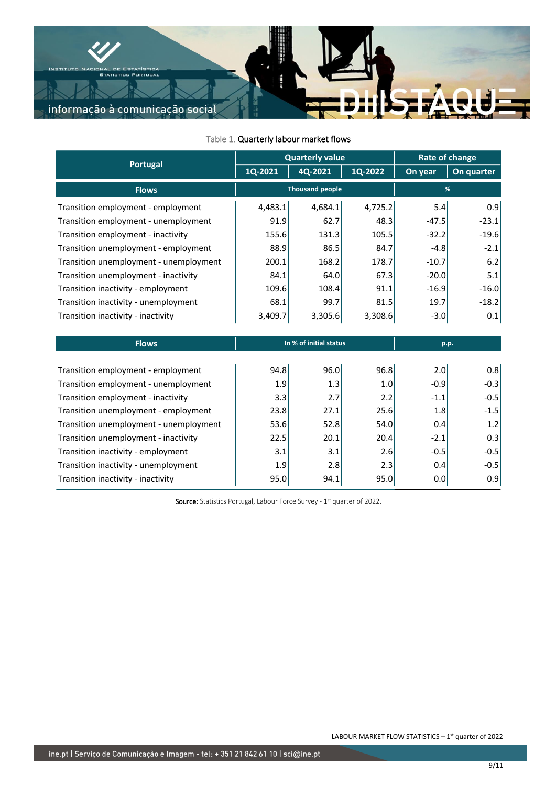

| Portugal                               | <b>Quarterly value</b> |         |         | <b>Rate of change</b> |            |
|----------------------------------------|------------------------|---------|---------|-----------------------|------------|
|                                        | 1Q-2021                | 4Q-2021 | 1Q-2022 | On year               | On quarter |
| <b>Flows</b>                           | <b>Thousand people</b> |         | %       |                       |            |
| Transition employment - employment     | 4,483.1                | 4,684.1 | 4,725.2 | 5.4                   | 0.9        |
| Transition employment - unemployment   | 91.9                   | 62.7    | 48.3    | $-47.5$               | $-23.1$    |
| Transition employment - inactivity     | 155.6                  | 131.3   | 105.5   | $-32.2$               | $-19.6$    |
| Transition unemployment - employment   | 88.9                   | 86.5    | 84.7    | $-4.8$                | $-2.1$     |
| Transition unemployment - unemployment | 200.1                  | 168.2   | 178.7   | $-10.7$               | 6.2        |
| Transition unemployment - inactivity   | 84.1                   | 64.0    | 67.3    | $-20.0$               | 5.1        |
| Transition inactivity - employment     | 109.6                  | 108.4   | 91.1    | $-16.9$               | $-16.0$    |
| Transition inactivity - unemployment   | 68.1                   | 99.7    | 81.5    | 19.7                  | $-18.2$    |
| Transition inactivity - inactivity     | 3,409.7                | 3,305.6 | 3,308.6 | $-3.0$                | 0.1        |
|                                        |                        |         |         |                       |            |
| <b>Flows</b>                           | In % of initial status |         | p.p.    |                       |            |
| Transition employment - employment     | 94.8                   | 96.0    | 96.8    | 2.0                   | 0.8        |
| Transition employment - unemployment   | 1.9                    | 1.3     | 1.0     | $-0.9$                | $-0.3$     |
|                                        | 3.3                    | 2.7     | 2.2     | $-1.1$                | $-0.5$     |
| Transition employment - inactivity     |                        |         |         |                       |            |
| Transition unemployment - employment   | 23.8                   | 27.1    | 25.6    | 1.8                   | $-1.5$     |
| Transition unemployment - unemployment | 53.6                   | 52.8    | 54.0    | 0.4                   | 1.2        |
| Transition unemployment - inactivity   | 22.5                   | 20.1    | 20.4    | $-2.1$                | 0.3        |
| Transition inactivity - employment     | 3.1                    | 3.1     | 2.6     | $-0.5$                | $-0.5$     |
| Transition inactivity - unemployment   | 1.9                    | 2.8     | 2.3     | 0.4                   | $-0.5$     |
| Transition inactivity - inactivity     | 95.0                   | 94.1    | 95.0    | 0.0                   | 0.9        |

## Table 1. Quarterly labour market flows

Source: Statistics Portugal, Labour Force Survey - 1<sup>st</sup> quarter of 2022.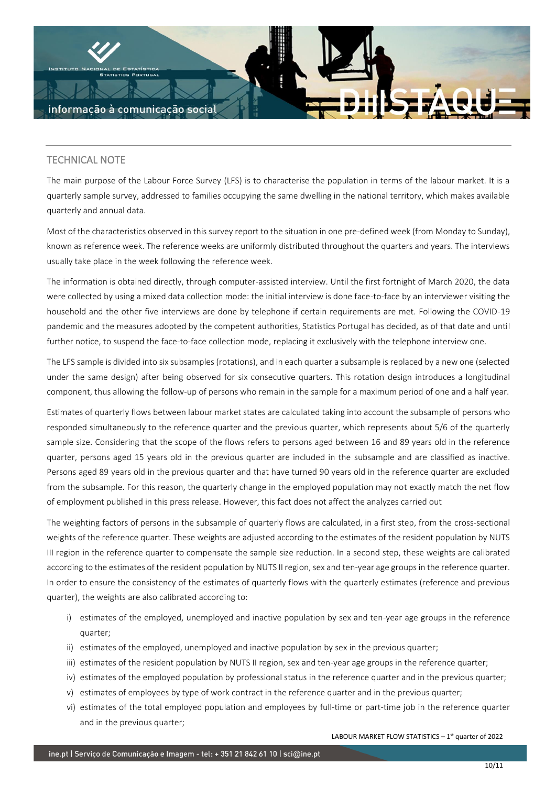

## TECHNICAL NOTE

The main purpose of the Labour Force Survey (LFS) is to characterise the population in terms of the labour market. It is a quarterly sample survey, addressed to families occupying the same dwelling in the national territory, which makes available quarterly and annual data.

Most of the characteristics observed in this survey report to the situation in one pre-defined week (from Monday to Sunday), known as reference week. The reference weeks are uniformly distributed throughout the quarters and years. The interviews usually take place in the week following the reference week.

The information is obtained directly, through computer-assisted interview. Until the first fortnight of March 2020, the data were collected by using a mixed data collection mode: the initial interview is done face-to-face by an interviewer visiting the household and the other five interviews are done by telephone if certain requirements are met. Following the COVID-19 pandemic and the measures adopted by the competent authorities, Statistics Portugal has decided, as of that date and until further notice, to suspend the face-to-face collection mode, replacing it exclusively with the telephone interview one.

The LFS sample is divided into six subsamples (rotations), and in each quarter a subsample is replaced by a new one (selected under the same design) after being observed for six consecutive quarters. This rotation design introduces a longitudinal component, thus allowing the follow-up of persons who remain in the sample for a maximum period of one and a half year.

Estimates of quarterly flows between labour market states are calculated taking into account the subsample of persons who responded simultaneously to the reference quarter and the previous quarter, which represents about 5/6 of the quarterly sample size. Considering that the scope of the flows refers to persons aged between 16 and 89 years old in the reference quarter, persons aged 15 years old in the previous quarter are included in the subsample and are classified as inactive. Persons aged 89 years old in the previous quarter and that have turned 90 years old in the reference quarter are excluded from the subsample. For this reason, the quarterly change in the employed population may not exactly match the net flow of employment published in this press release. However, this fact does not affect the analyzes carried out

The weighting factors of persons in the subsample of quarterly flows are calculated, in a first step, from the cross-sectional weights of the reference quarter. These weights are adjusted according to the estimates of the resident population by NUTS III region in the reference quarter to compensate the sample size reduction. In a second step, these weights are calibrated according to the estimates of the resident population by NUTS II region, sex and ten-year age groups in the reference quarter. In order to ensure the consistency of the estimates of quarterly flows with the quarterly estimates (reference and previous quarter), the weights are also calibrated according to:

- i) estimates of the employed, unemployed and inactive population by sex and ten-year age groups in the reference quarter;
- ii) estimates of the employed, unemployed and inactive population by sex in the previous quarter;
- iii) estimates of the resident population by NUTS II region, sex and ten-year age groups in the reference quarter;
- iv) estimates of the employed population by professional status in the reference quarter and in the previous quarter;
- v) estimates of employees by type of work contract in the reference quarter and in the previous quarter;
- vi) estimates of the total employed population and employees by full-time or part-time job in the reference quarter and in the previous quarter;

LABOUR MARKET FLOW STATISTICS  $-1<sup>st</sup>$  quarter of 2022